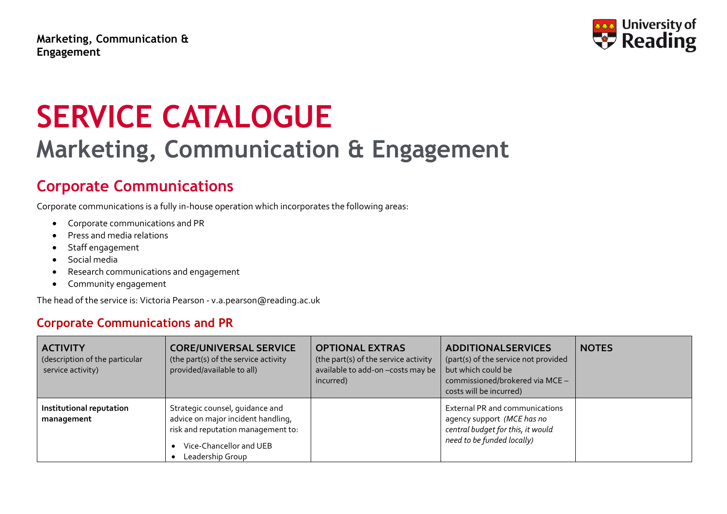**Marketing, Communication & Engagement**



# **SERVICE CATALOGUE Marketing, Communication & Engagement**

# **Corporate Communications**

Corporate communications is a fully in-house operation which incorporates the following areas:

- Corporate communications and PR
- Press and media relations
- Staff engagement
- Social media
- Research communications and engagement
- Community engagement

The head of the service is: Victoria Pearson - [v.a.pearson@reading.ac.uk](mailto:c.heymann@reading.ac.uk)

#### **Corporate Communications and PR**

| <b>ACTIVITY</b><br>(description of the particular<br>service activity) | <b>CORE/UNIVERSAL SERVICE</b><br>(the part(s) of the service activity<br>provided/available to all)                                                        | <b>OPTIONAL EXTRAS</b><br>(the part(s) of the service activity<br>available to add-on-costs may be<br>incurred) | <b>ADDITIONALSERVICES</b><br>(part(s) of the service not provided<br>but which could be<br>commissioned/brokered via MCE -<br>costs will be incurred) | <b>NOTES</b> |
|------------------------------------------------------------------------|------------------------------------------------------------------------------------------------------------------------------------------------------------|-----------------------------------------------------------------------------------------------------------------|-------------------------------------------------------------------------------------------------------------------------------------------------------|--------------|
| Institutional reputation<br>management                                 | Strategic counsel, guidance and<br>advice on major incident handling,<br>risk and reputation management to:<br>Vice-Chancellor and UEB<br>Leadership Group |                                                                                                                 | External PR and communications<br>agency support (MCE has no<br>central budget for this, it would<br>need to be funded locally)                       |              |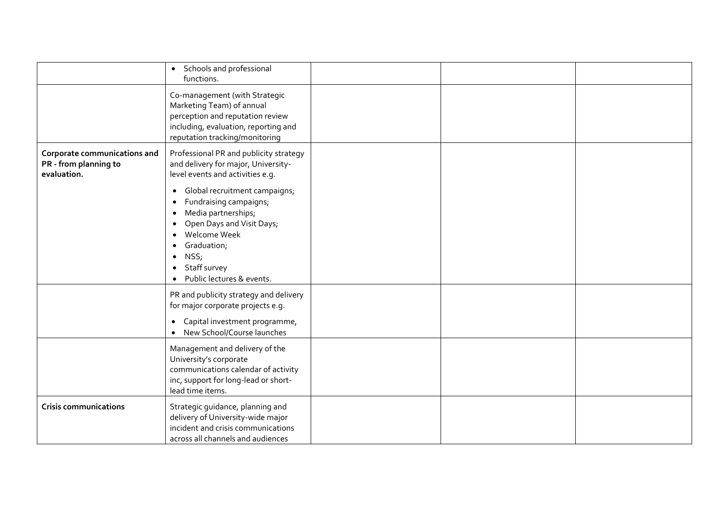|                                                                      | • Schools and professional<br>functions.                                                                                                                                                                                                                                                                             |  |  |
|----------------------------------------------------------------------|----------------------------------------------------------------------------------------------------------------------------------------------------------------------------------------------------------------------------------------------------------------------------------------------------------------------|--|--|
|                                                                      | Co-management (with Strategic<br>Marketing Team) of annual<br>perception and reputation review<br>including, evaluation, reporting and<br>reputation tracking/monitoring                                                                                                                                             |  |  |
| Corporate communications and<br>PR - from planning to<br>evaluation. | Professional PR and publicity strategy<br>and delivery for major, University-<br>level events and activities e.g.                                                                                                                                                                                                    |  |  |
|                                                                      | Global recruitment campaigns;<br>$\bullet$<br>Fundraising campaigns;<br>$\bullet$<br>Media partnerships;<br>$\bullet$<br>Open Days and Visit Days;<br>$\bullet$<br>Welcome Week<br>$\bullet$<br>Graduation;<br>$\bullet$<br>NSS;<br>$\bullet$<br>Staff survey<br>$\bullet$<br>Public lectures & events.<br>$\bullet$ |  |  |
|                                                                      | PR and publicity strategy and delivery<br>for major corporate projects e.g.<br>Capital investment programme,<br>$\bullet$<br>New School/Course launches<br>$\bullet$                                                                                                                                                 |  |  |
|                                                                      | Management and delivery of the<br>University's corporate<br>communications calendar of activity<br>inc, support for long-lead or short-<br>lead time items.                                                                                                                                                          |  |  |
| <b>Crisis communications</b>                                         | Strategic guidance, planning and<br>delivery of University-wide major<br>incident and crisis communications<br>across all channels and audiences                                                                                                                                                                     |  |  |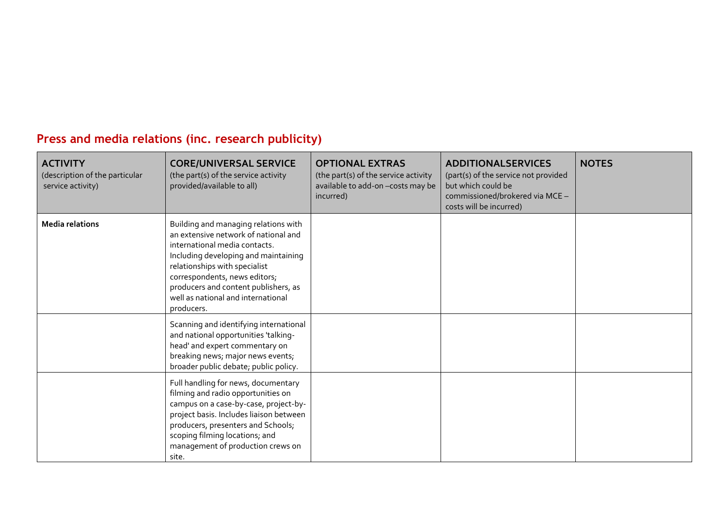## **Press and media relations (inc. research publicity)**

| <b>ACTIVITY</b><br>(description of the particular<br>service activity) | <b>CORE/UNIVERSAL SERVICE</b><br>(the part(s) of the service activity<br>provided/available to all)                                                                                                                                                                                                                 | <b>OPTIONAL EXTRAS</b><br>(the part(s) of the service activity<br>available to add-on-costs may be<br>incurred) | <b>ADDITIONALSERVICES</b><br>(part(s) of the service not provided<br>but which could be<br>commissioned/brokered via MCE -<br>costs will be incurred) | <b>NOTES</b> |
|------------------------------------------------------------------------|---------------------------------------------------------------------------------------------------------------------------------------------------------------------------------------------------------------------------------------------------------------------------------------------------------------------|-----------------------------------------------------------------------------------------------------------------|-------------------------------------------------------------------------------------------------------------------------------------------------------|--------------|
| <b>Media relations</b>                                                 | Building and managing relations with<br>an extensive network of national and<br>international media contacts.<br>Including developing and maintaining<br>relationships with specialist<br>correspondents, news editors;<br>producers and content publishers, as<br>well as national and international<br>producers. |                                                                                                                 |                                                                                                                                                       |              |
|                                                                        | Scanning and identifying international<br>and national opportunities 'talking-<br>head' and expert commentary on<br>breaking news; major news events;<br>broader public debate; public policy.                                                                                                                      |                                                                                                                 |                                                                                                                                                       |              |
|                                                                        | Full handling for news, documentary<br>filming and radio opportunities on<br>campus on a case-by-case, project-by-<br>project basis. Includes liaison between<br>producers, presenters and Schools;<br>scoping filming locations; and<br>management of production crews on<br>site.                                 |                                                                                                                 |                                                                                                                                                       |              |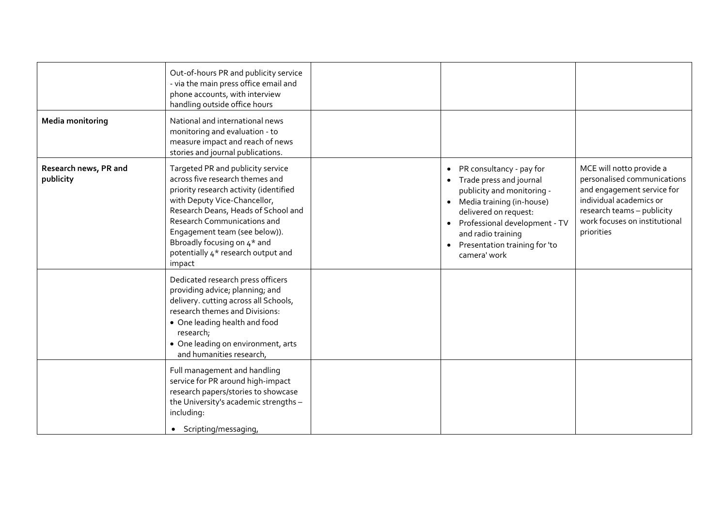|                                    | Out-of-hours PR and publicity service<br>- via the main press office email and<br>phone accounts, with interview<br>handling outside office hours                                                                                                                                                                                    |                                                                                                                                                                                                                                                                      |                                                                                                                                                                                               |
|------------------------------------|--------------------------------------------------------------------------------------------------------------------------------------------------------------------------------------------------------------------------------------------------------------------------------------------------------------------------------------|----------------------------------------------------------------------------------------------------------------------------------------------------------------------------------------------------------------------------------------------------------------------|-----------------------------------------------------------------------------------------------------------------------------------------------------------------------------------------------|
| <b>Media monitoring</b>            | National and international news<br>monitoring and evaluation - to<br>measure impact and reach of news<br>stories and journal publications.                                                                                                                                                                                           |                                                                                                                                                                                                                                                                      |                                                                                                                                                                                               |
| Research news, PR and<br>publicity | Targeted PR and publicity service<br>across five research themes and<br>priority research activity (identified<br>with Deputy Vice-Chancellor,<br>Research Deans, Heads of School and<br>Research Communications and<br>Engagement team (see below)).<br>Bbroadly focusing on 4* and<br>potentially 4* research output and<br>impact | • PR consultancy - pay for<br>• Trade press and journal<br>publicity and monitoring -<br>• Media training (in-house)<br>delivered on request:<br>Professional development - TV<br>$\bullet$<br>and radio training<br>• Presentation training for 'to<br>camera' work | MCE will notto provide a<br>personalised communications<br>and engagement service for<br>individual academics or<br>research teams - publicity<br>work focuses on institutional<br>priorities |
|                                    | Dedicated research press officers<br>providing advice; planning; and<br>delivery. cutting across all Schools,<br>research themes and Divisions:<br>• One leading health and food<br>research;<br>• One leading on environment, arts<br>and humanities research,                                                                      |                                                                                                                                                                                                                                                                      |                                                                                                                                                                                               |
|                                    | Full management and handling<br>service for PR around high-impact<br>research papers/stories to showcase<br>the University's academic strengths -<br>including:<br>• Scripting/messaging,                                                                                                                                            |                                                                                                                                                                                                                                                                      |                                                                                                                                                                                               |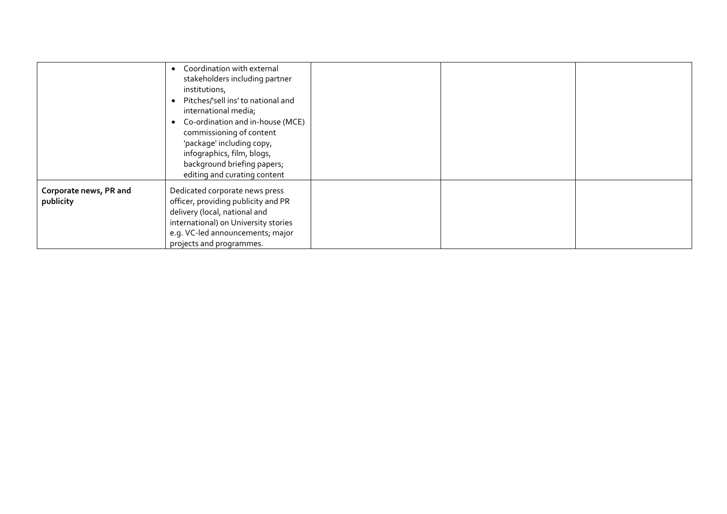|                                     | Coordination with external<br>stakeholders including partner<br>institutions,<br>Pitches/'sell ins' to national and<br>international media;<br>Co-ordination and in-house (MCE)<br>$\bullet$<br>commissioning of content<br>'package' including copy,<br>infographics, film, blogs,<br>background briefing papers;<br>editing and curating content |  |  |
|-------------------------------------|----------------------------------------------------------------------------------------------------------------------------------------------------------------------------------------------------------------------------------------------------------------------------------------------------------------------------------------------------|--|--|
| Corporate news, PR and<br>publicity | Dedicated corporate news press<br>officer, providing publicity and PR<br>delivery (local, national and<br>international) on University stories<br>e.g. VC-led announcements; major<br>projects and programmes.                                                                                                                                     |  |  |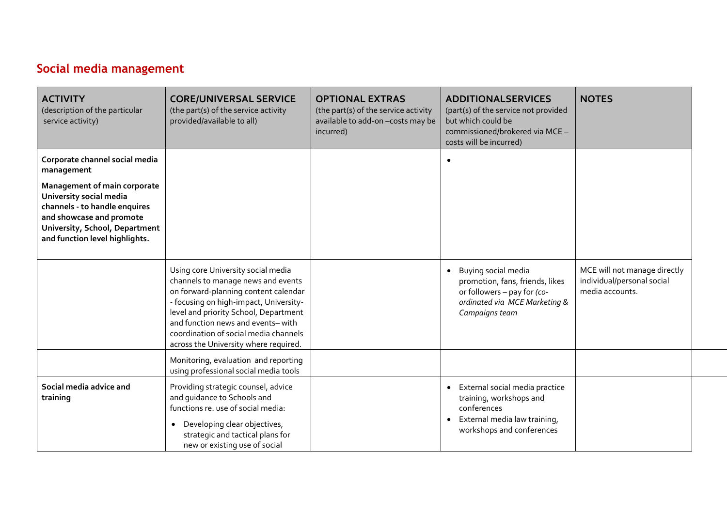## **Social media management**

| <b>ACTIVITY</b><br>(description of the particular<br>service activity)                                                                                                                   | <b>CORE/UNIVERSAL SERVICE</b><br>(the part(s) of the service activity<br>provided/available to all)                                                                                                                                                                                                                        | <b>OPTIONAL EXTRAS</b><br>(the part(s) of the service activity<br>available to add-on - costs may be<br>incurred) | <b>ADDITIONALSERVICES</b><br>(part(s) of the service not provided<br>but which could be<br>commissioned/brokered via MCE -<br>costs will be incurred) | <b>NOTES</b>                                                                  |
|------------------------------------------------------------------------------------------------------------------------------------------------------------------------------------------|----------------------------------------------------------------------------------------------------------------------------------------------------------------------------------------------------------------------------------------------------------------------------------------------------------------------------|-------------------------------------------------------------------------------------------------------------------|-------------------------------------------------------------------------------------------------------------------------------------------------------|-------------------------------------------------------------------------------|
| Corporate channel social media<br>management                                                                                                                                             |                                                                                                                                                                                                                                                                                                                            |                                                                                                                   |                                                                                                                                                       |                                                                               |
| Management of main corporate<br>University social media<br>channels - to handle enquires<br>and showcase and promote<br>University, School, Department<br>and function level highlights. |                                                                                                                                                                                                                                                                                                                            |                                                                                                                   |                                                                                                                                                       |                                                                               |
|                                                                                                                                                                                          | Using core University social media<br>channels to manage news and events<br>on forward-planning content calendar<br>- focusing on high-impact, University-<br>level and priority School, Department<br>and function news and events-with<br>coordination of social media channels<br>across the University where required. |                                                                                                                   | • Buying social media<br>promotion, fans, friends, likes<br>or followers - pay for (co-<br>ordinated via MCE Marketing &<br>Campaigns team            | MCE will not manage directly<br>individual/personal social<br>media accounts. |
|                                                                                                                                                                                          | Monitoring, evaluation and reporting<br>using professional social media tools                                                                                                                                                                                                                                              |                                                                                                                   |                                                                                                                                                       |                                                                               |
| Social media advice and<br>training                                                                                                                                                      | Providing strategic counsel, advice<br>and guidance to Schools and<br>functions re. use of social media:<br>Developing clear objectives,<br>strategic and tactical plans for<br>new or existing use of social                                                                                                              |                                                                                                                   | External social media practice<br>$\bullet$<br>training, workshops and<br>conferences<br>External media law training,<br>workshops and conferences    |                                                                               |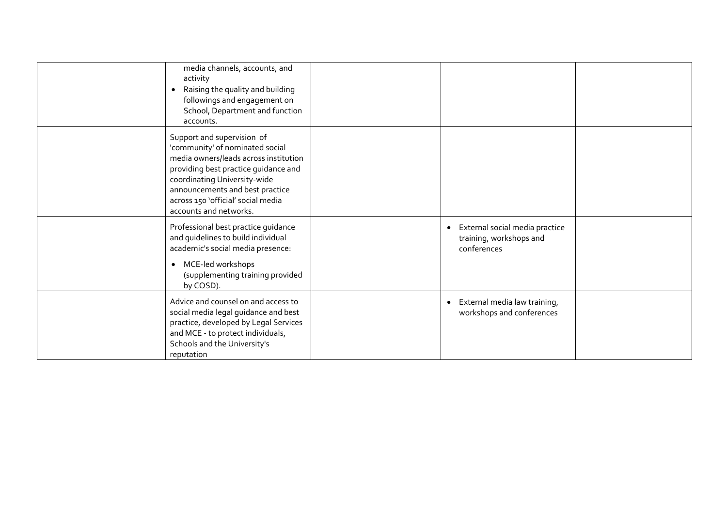| media channels, accounts, and<br>activity<br>Raising the quality and building<br>$\bullet$<br>followings and engagement on<br>School, Department and function<br>accounts.                                                                                                        |                                                                                       |  |
|-----------------------------------------------------------------------------------------------------------------------------------------------------------------------------------------------------------------------------------------------------------------------------------|---------------------------------------------------------------------------------------|--|
| Support and supervision of<br>'community' of nominated social<br>media owners/leads across institution<br>providing best practice guidance and<br>coordinating University-wide<br>announcements and best practice<br>across 150 'official' social media<br>accounts and networks. |                                                                                       |  |
| Professional best practice guidance<br>and guidelines to build individual<br>academic's social media presence:<br>MCE-led workshops<br>$\bullet$<br>(supplementing training provided<br>by CQSD).                                                                                 | External social media practice<br>$\bullet$<br>training, workshops and<br>conferences |  |
| Advice and counsel on and access to<br>social media legal guidance and best<br>practice, developed by Legal Services<br>and MCE - to protect individuals,<br>Schools and the University's<br>reputation                                                                           | External media law training,<br>$\bullet$<br>workshops and conferences                |  |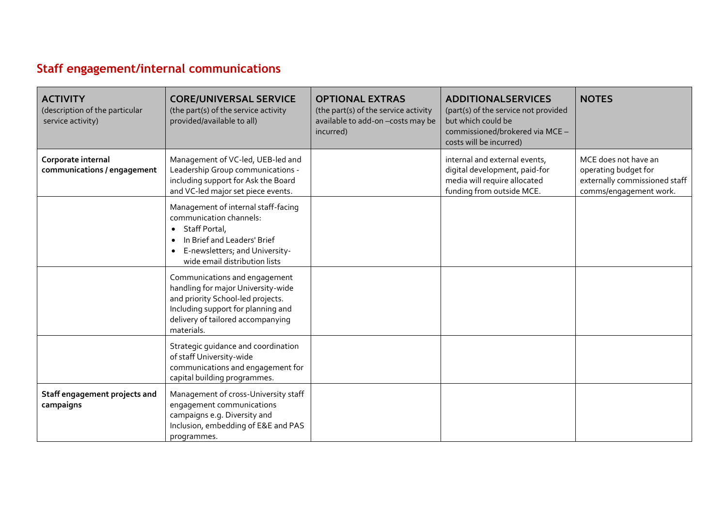# **Staff engagement/internal communications**

| <b>ACTIVITY</b><br>(description of the particular<br>service activity) | <b>CORE/UNIVERSAL SERVICE</b><br>(the part(s) of the service activity<br>provided/available to all)                                                                                                                      | <b>OPTIONAL EXTRAS</b><br>(the part(s) of the service activity<br>available to add-on - costs may be<br>incurred) | <b>ADDITIONALSERVICES</b><br>(part(s) of the service not provided<br>but which could be<br>commissioned/brokered via MCE -<br>costs will be incurred) | <b>NOTES</b>                                                                                            |
|------------------------------------------------------------------------|--------------------------------------------------------------------------------------------------------------------------------------------------------------------------------------------------------------------------|-------------------------------------------------------------------------------------------------------------------|-------------------------------------------------------------------------------------------------------------------------------------------------------|---------------------------------------------------------------------------------------------------------|
| Corporate internal<br>communications / engagement                      | Management of VC-led, UEB-led and<br>Leadership Group communications -<br>including support for Ask the Board<br>and VC-led major set piece events.                                                                      |                                                                                                                   | internal and external events,<br>digital development, paid-for<br>media will require allocated<br>funding from outside MCE.                           | MCE does not have an<br>operating budget for<br>externally commissioned staff<br>comms/engagement work. |
|                                                                        | Management of internal staff-facing<br>communication channels:<br>Staff Portal,<br>$\bullet$<br>In Brief and Leaders' Brief<br>$\bullet$<br>E-newsletters; and University-<br>$\bullet$<br>wide email distribution lists |                                                                                                                   |                                                                                                                                                       |                                                                                                         |
|                                                                        | Communications and engagement<br>handling for major University-wide<br>and priority School-led projects.<br>Including support for planning and<br>delivery of tailored accompanying<br>materials.                        |                                                                                                                   |                                                                                                                                                       |                                                                                                         |
|                                                                        | Strategic guidance and coordination<br>of staff University-wide<br>communications and engagement for<br>capital building programmes.                                                                                     |                                                                                                                   |                                                                                                                                                       |                                                                                                         |
| Staff engagement projects and<br>campaigns                             | Management of cross-University staff<br>engagement communications<br>campaigns e.g. Diversity and<br>Inclusion, embedding of E&E and PAS<br>programmes.                                                                  |                                                                                                                   |                                                                                                                                                       |                                                                                                         |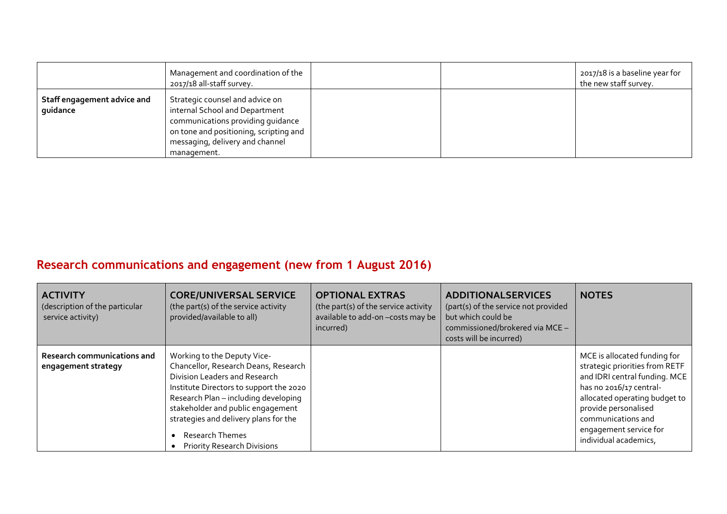|                                         | Management and coordination of the<br>2017/18 all-staff survey.                                                                                                                                    |  | 2017/18 is a baseline year for<br>the new staff survey. |
|-----------------------------------------|----------------------------------------------------------------------------------------------------------------------------------------------------------------------------------------------------|--|---------------------------------------------------------|
| Staff engagement advice and<br>quidance | Strategic counsel and advice on<br>internal School and Department<br>communications providing quidance<br>on tone and positioning, scripting and<br>messaging, delivery and channel<br>management. |  |                                                         |

## **Research communications and engagement (new from 1 August 2016)**

| <b>ACTIVITY</b><br>(description of the particular<br>service activity) | <b>CORE/UNIVERSAL SERVICE</b><br>(the part(s) of the service activity<br>provided/available to all)                                                                                                                                                                                                                            | <b>OPTIONAL EXTRAS</b><br>(the part(s) of the service activity<br>available to add-on -costs may be<br>incurred) | <b>ADDITIONALSERVICES</b><br>(part(s) of the service not provided<br>but which could be<br>commissioned/brokered via MCE -<br>costs will be incurred) | <b>NOTES</b>                                                                                                                                                                                                                                                 |
|------------------------------------------------------------------------|--------------------------------------------------------------------------------------------------------------------------------------------------------------------------------------------------------------------------------------------------------------------------------------------------------------------------------|------------------------------------------------------------------------------------------------------------------|-------------------------------------------------------------------------------------------------------------------------------------------------------|--------------------------------------------------------------------------------------------------------------------------------------------------------------------------------------------------------------------------------------------------------------|
| Research communications and<br>engagement strategy                     | Working to the Deputy Vice-<br>Chancellor, Research Deans, Research<br>Division Leaders and Research<br>Institute Directors to support the 2020<br>Research Plan - including developing<br>stakeholder and public engagement<br>strategies and delivery plans for the<br>Research Themes<br><b>Priority Research Divisions</b> |                                                                                                                  |                                                                                                                                                       | MCE is allocated funding for<br>strategic priorities from RETF<br>and IDRI central funding. MCE<br>has no 2016/17 central-<br>allocated operating budget to<br>provide personalised<br>communications and<br>engagement service for<br>individual academics, |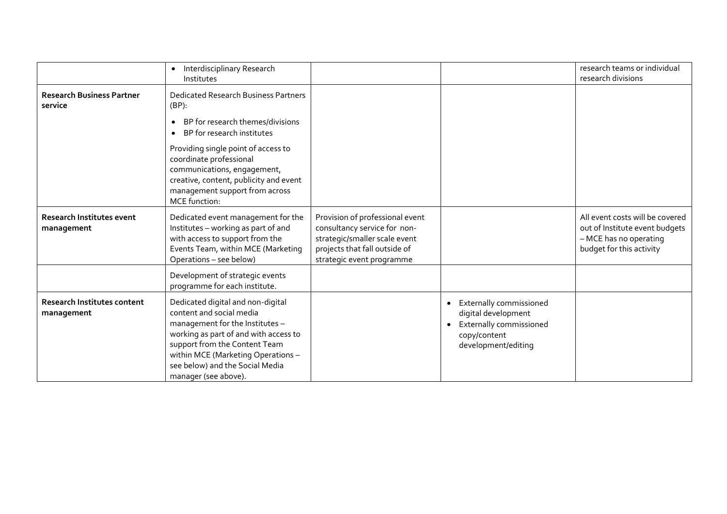|                                                  | Interdisciplinary Research<br>$\bullet$<br>Institutes                                                                                                                                                                                                                       |                                                                                                                                                                |                                                                                                                                            | research teams or individual<br>research divisions                                                                      |
|--------------------------------------------------|-----------------------------------------------------------------------------------------------------------------------------------------------------------------------------------------------------------------------------------------------------------------------------|----------------------------------------------------------------------------------------------------------------------------------------------------------------|--------------------------------------------------------------------------------------------------------------------------------------------|-------------------------------------------------------------------------------------------------------------------------|
| <b>Research Business Partner</b><br>service      | <b>Dedicated Research Business Partners</b><br>$(BP)$ :                                                                                                                                                                                                                     |                                                                                                                                                                |                                                                                                                                            |                                                                                                                         |
|                                                  | BP for research themes/divisions<br>$\bullet$<br>BP for research institutes<br>$\bullet$                                                                                                                                                                                    |                                                                                                                                                                |                                                                                                                                            |                                                                                                                         |
|                                                  | Providing single point of access to<br>coordinate professional<br>communications, engagement,<br>creative, content, publicity and event<br>management support from across<br><b>MCE</b> function:                                                                           |                                                                                                                                                                |                                                                                                                                            |                                                                                                                         |
| <b>Research Institutes event</b><br>management   | Dedicated event management for the<br>Institutes - working as part of and<br>with access to support from the<br>Events Team, within MCE (Marketing<br>Operations - see below)                                                                                               | Provision of professional event<br>consultancy service for non-<br>strategic/smaller scale event<br>projects that fall outside of<br>strategic event programme |                                                                                                                                            | All event costs will be covered<br>out of Institute event budgets<br>- MCE has no operating<br>budget for this activity |
|                                                  | Development of strategic events<br>programme for each institute.                                                                                                                                                                                                            |                                                                                                                                                                |                                                                                                                                            |                                                                                                                         |
| <b>Research Institutes content</b><br>management | Dedicated digital and non-digital<br>content and social media<br>management for the Institutes -<br>working as part of and with access to<br>support from the Content Team<br>within MCE (Marketing Operations -<br>see below) and the Social Media<br>manager (see above). |                                                                                                                                                                | Externally commissioned<br>$\bullet$<br>digital development<br>Externally commissioned<br>$\bullet$<br>copy/content<br>development/editing |                                                                                                                         |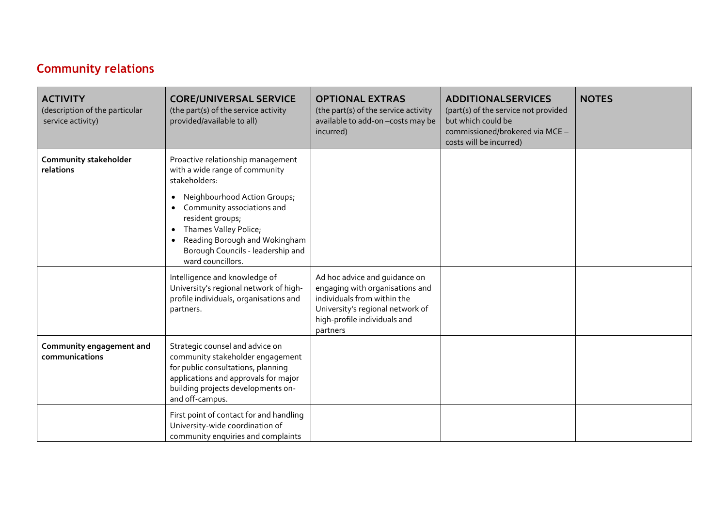#### **Community relations**

| <b>ACTIVITY</b><br>(description of the particular<br>service activity) | <b>CORE/UNIVERSAL SERVICE</b><br>(the part(s) of the service activity<br>provided/available to all)                                                                                                                                                                                                                                            | <b>OPTIONAL EXTRAS</b><br>(the part(s) of the service activity<br>available to add-on-costs may be<br>incurred)                                                                 | <b>ADDITIONALSERVICES</b><br>(part(s) of the service not provided<br>but which could be<br>commissioned/brokered via MCE -<br>costs will be incurred) | <b>NOTES</b> |
|------------------------------------------------------------------------|------------------------------------------------------------------------------------------------------------------------------------------------------------------------------------------------------------------------------------------------------------------------------------------------------------------------------------------------|---------------------------------------------------------------------------------------------------------------------------------------------------------------------------------|-------------------------------------------------------------------------------------------------------------------------------------------------------|--------------|
| Community stakeholder<br>relations                                     | Proactive relationship management<br>with a wide range of community<br>stakeholders:<br>Neighbourhood Action Groups;<br>$\bullet$<br>Community associations and<br>$\bullet$<br>resident groups;<br>Thames Valley Police;<br>$\bullet$<br>Reading Borough and Wokingham<br>$\bullet$<br>Borough Councils - leadership and<br>ward councillors. |                                                                                                                                                                                 |                                                                                                                                                       |              |
|                                                                        | Intelligence and knowledge of<br>University's regional network of high-<br>profile individuals, organisations and<br>partners.                                                                                                                                                                                                                 | Ad hoc advice and guidance on<br>engaging with organisations and<br>individuals from within the<br>University's regional network of<br>high-profile individuals and<br>partners |                                                                                                                                                       |              |
| Community engagement and<br>communications                             | Strategic counsel and advice on<br>community stakeholder engagement<br>for public consultations, planning<br>applications and approvals for major<br>building projects developments on-<br>and off-campus.                                                                                                                                     |                                                                                                                                                                                 |                                                                                                                                                       |              |
|                                                                        | First point of contact for and handling<br>University-wide coordination of<br>community enquiries and complaints                                                                                                                                                                                                                               |                                                                                                                                                                                 |                                                                                                                                                       |              |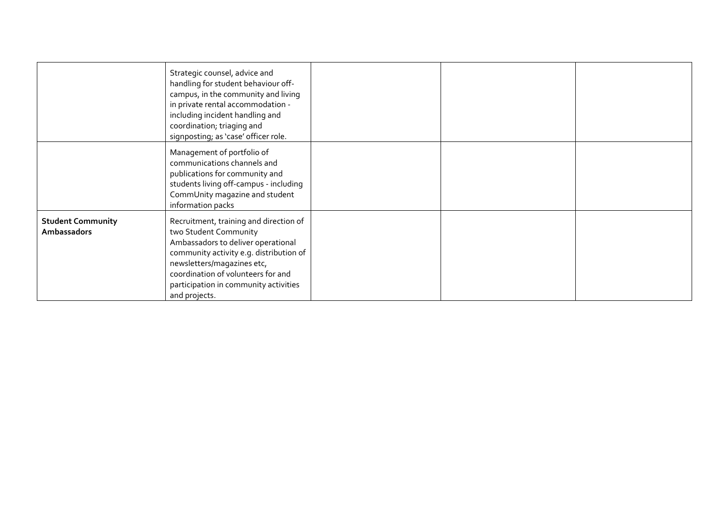|                                         | Strategic counsel, advice and<br>handling for student behaviour off-<br>campus, in the community and living<br>in private rental accommodation -<br>including incident handling and<br>coordination; triaging and<br>signposting; as 'case' officer role.                      |  |  |
|-----------------------------------------|--------------------------------------------------------------------------------------------------------------------------------------------------------------------------------------------------------------------------------------------------------------------------------|--|--|
|                                         | Management of portfolio of<br>communications channels and<br>publications for community and<br>students living off-campus - including<br>CommUnity magazine and student<br>information packs                                                                                   |  |  |
| <b>Student Community</b><br>Ambassadors | Recruitment, training and direction of<br>two Student Community<br>Ambassadors to deliver operational<br>community activity e.g. distribution of<br>newsletters/magazines etc,<br>coordination of volunteers for and<br>participation in community activities<br>and projects. |  |  |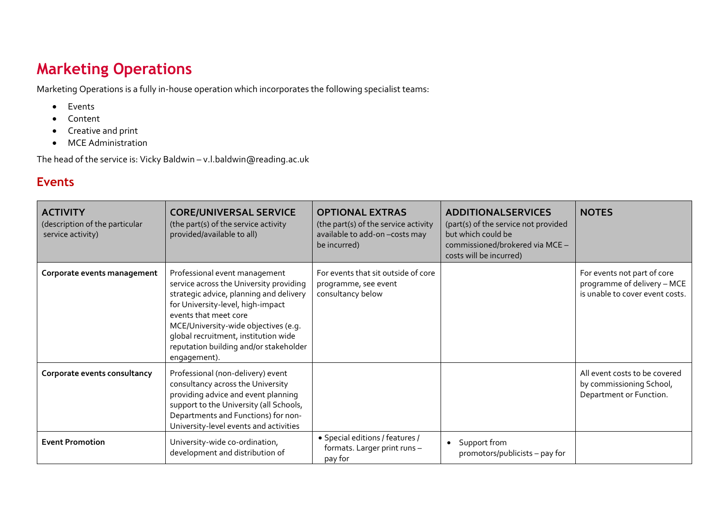# **Marketing Operations**

Marketing Operations is a fully in-house operation which incorporates the following specialist teams:

- Events
- Content
- Creative and print
- MCE Administration

The head of the service is: Vicky Baldwin – [v.l.baldwin@reading](mailto:f.j.blair@reading.ac.uk).ac.uk

#### **Events**

| <b>ACTIVITY</b><br>(description of the particular<br>service activity) | <b>CORE/UNIVERSAL SERVICE</b><br>(the part(s) of the service activity<br>provided/available to all)                                                                                                                                                                                                                         | <b>OPTIONAL EXTRAS</b><br>(the part(s) of the service activity<br>available to add-on-costs may<br>be incurred) | <b>ADDITIONALSERVICES</b><br>(part(s) of the service not provided<br>but which could be<br>commissioned/brokered via MCE -<br>costs will be incurred) | <b>NOTES</b>                                                                                  |
|------------------------------------------------------------------------|-----------------------------------------------------------------------------------------------------------------------------------------------------------------------------------------------------------------------------------------------------------------------------------------------------------------------------|-----------------------------------------------------------------------------------------------------------------|-------------------------------------------------------------------------------------------------------------------------------------------------------|-----------------------------------------------------------------------------------------------|
| Corporate events management                                            | Professional event management<br>service across the University providing<br>strategic advice, planning and delivery<br>for University-level, high-impact<br>events that meet core<br>MCE/University-wide objectives (e.g.<br>global recruitment, institution wide<br>reputation building and/or stakeholder<br>engagement). | For events that sit outside of core<br>programme, see event<br>consultancy below                                |                                                                                                                                                       | For events not part of core<br>programme of delivery - MCE<br>is unable to cover event costs. |
| Corporate events consultancy                                           | Professional (non-delivery) event<br>consultancy across the University<br>providing advice and event planning<br>support to the University (all Schools,<br>Departments and Functions) for non-<br>University-level events and activities                                                                                   |                                                                                                                 |                                                                                                                                                       | All event costs to be covered<br>by commissioning School,<br>Department or Function.          |
| <b>Event Promotion</b>                                                 | University-wide co-ordination,<br>development and distribution of                                                                                                                                                                                                                                                           | · Special editions / features /<br>formats. Larger print runs -<br>pay for                                      | • Support from<br>promotors/publicists – pay for                                                                                                      |                                                                                               |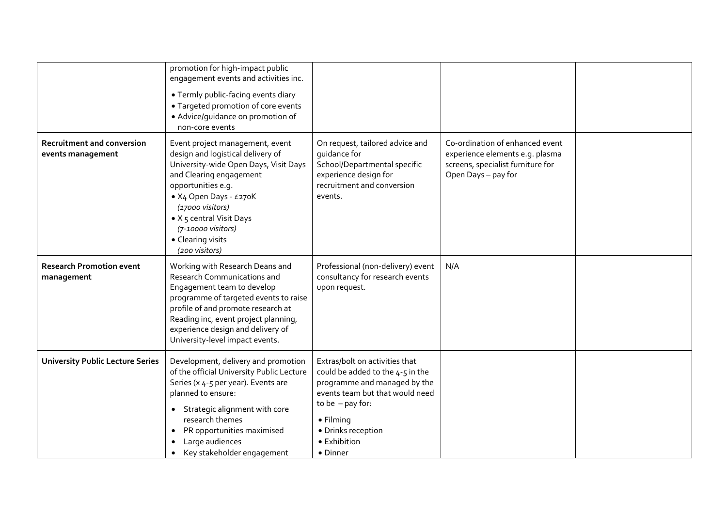|                                                        | promotion for high-impact public<br>engagement events and activities inc.<br>• Termly public-facing events diary<br>• Targeted promotion of core events<br>· Advice/guidance on promotion of<br>non-core events                                                                                            |                                                                                                                                                                                                                            |                                                                                                                                |  |
|--------------------------------------------------------|------------------------------------------------------------------------------------------------------------------------------------------------------------------------------------------------------------------------------------------------------------------------------------------------------------|----------------------------------------------------------------------------------------------------------------------------------------------------------------------------------------------------------------------------|--------------------------------------------------------------------------------------------------------------------------------|--|
| <b>Recruitment and conversion</b><br>events management | Event project management, event<br>design and logistical delivery of<br>University-wide Open Days, Visit Days<br>and Clearing engagement<br>opportunities e.g.<br>• X4 Open Days - £270K<br>(17000 visitors)<br>• X 5 central Visit Days<br>(7-10000 visitors)<br>• Clearing visits<br>(200 visitors)      | On request, tailored advice and<br>quidance for<br>School/Departmental specific<br>experience design for<br>recruitment and conversion<br>events.                                                                          | Co-ordination of enhanced event<br>experience elements e.g. plasma<br>screens, specialist furniture for<br>Open Days - pay for |  |
| <b>Research Promotion event</b><br>management          | Working with Research Deans and<br><b>Research Communications and</b><br>Engagement team to develop<br>programme of targeted events to raise<br>profile of and promote research at<br>Reading inc, event project planning,<br>experience design and delivery of<br>University-level impact events.         | Professional (non-delivery) event<br>consultancy for research events<br>upon request.                                                                                                                                      | N/A                                                                                                                            |  |
| <b>University Public Lecture Series</b>                | Development, delivery and promotion<br>of the official University Public Lecture<br>Series (x 4-5 per year). Events are<br>planned to ensure:<br>Strategic alignment with core<br>$\bullet$<br>research themes<br>PR opportunities maximised<br>Large audiences<br>$\bullet$<br>Key stakeholder engagement | Extras/bolt on activities that<br>could be added to the 4-5 in the<br>programme and managed by the<br>events team but that would need<br>to be $-$ pay for:<br>• Filming<br>· Drinks reception<br>• Exhibition<br>• Dinner |                                                                                                                                |  |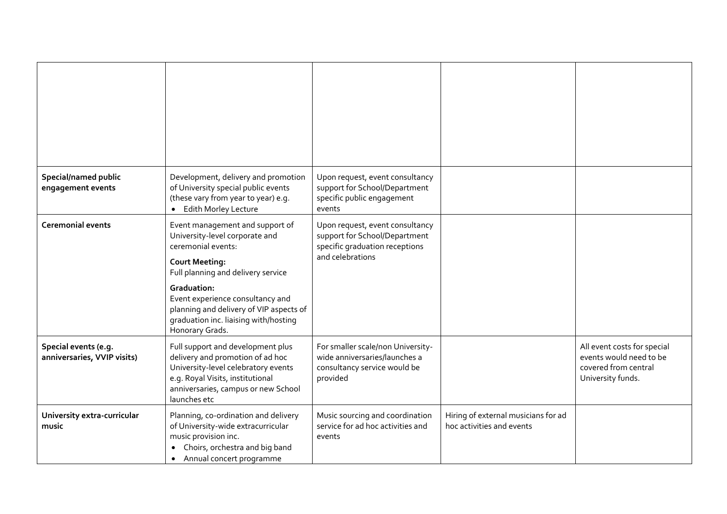| Special/named public<br>engagement events           | Development, delivery and promotion<br>of University special public events<br>(these vary from year to year) e.g.<br>• Edith Morley Lecture                                                                                                                                                                             | Upon request, event consultancy<br>support for School/Department<br>specific public engagement<br>events               |                                                                  |                                                                                                     |
|-----------------------------------------------------|-------------------------------------------------------------------------------------------------------------------------------------------------------------------------------------------------------------------------------------------------------------------------------------------------------------------------|------------------------------------------------------------------------------------------------------------------------|------------------------------------------------------------------|-----------------------------------------------------------------------------------------------------|
| <b>Ceremonial events</b>                            | Event management and support of<br>University-level corporate and<br>ceremonial events:<br><b>Court Meeting:</b><br>Full planning and delivery service<br><b>Graduation:</b><br>Event experience consultancy and<br>planning and delivery of VIP aspects of<br>graduation inc. liaising with/hosting<br>Honorary Grads. | Upon request, event consultancy<br>support for School/Department<br>specific graduation receptions<br>and celebrations |                                                                  |                                                                                                     |
| Special events (e.g.<br>anniversaries, VVIP visits) | Full support and development plus<br>delivery and promotion of ad hoc<br>University-level celebratory events<br>e.g. Royal Visits, institutional<br>anniversaries, campus or new School<br>launches etc                                                                                                                 | For smaller scale/non University-<br>wide anniversaries/launches a<br>consultancy service would be<br>provided         |                                                                  | All event costs for special<br>events would need to be<br>covered from central<br>University funds. |
| University extra-curricular<br>music                | Planning, co-ordination and delivery<br>of University-wide extracurricular<br>music provision inc.<br>Choirs, orchestra and big band<br>Annual concert programme<br>$\bullet$                                                                                                                                           | Music sourcing and coordination<br>service for ad hoc activities and<br>events                                         | Hiring of external musicians for ad<br>hoc activities and events |                                                                                                     |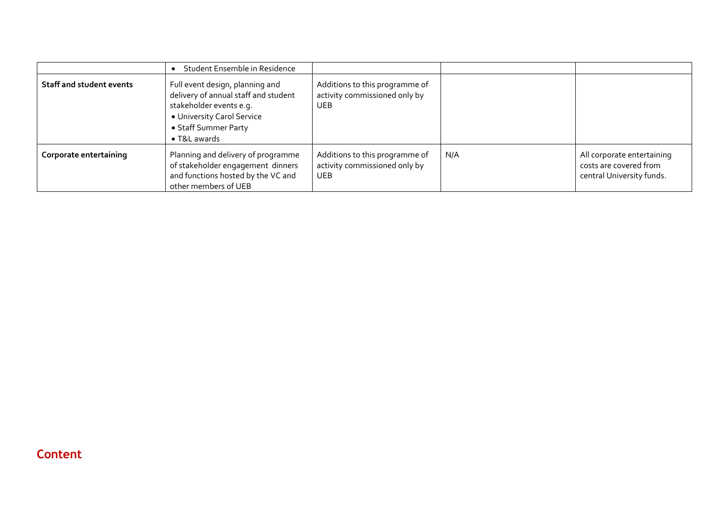|                                 | Student Ensemble in Residence                                                                                                                                                    |                                                                               |     |                                                                                   |
|---------------------------------|----------------------------------------------------------------------------------------------------------------------------------------------------------------------------------|-------------------------------------------------------------------------------|-----|-----------------------------------------------------------------------------------|
| <b>Staff and student events</b> | Full event design, planning and<br>delivery of annual staff and student<br>stakeholder events e.g.<br>• University Carol Service<br>• Staff Summer Party<br>$\bullet$ T&L awards | Additions to this programme of<br>activity commissioned only by<br><b>UEB</b> |     |                                                                                   |
| Corporate entertaining          | Planning and delivery of programme<br>of stakeholder engagement dinners<br>and functions hosted by the VC and<br>other members of UEB                                            | Additions to this programme of<br>activity commissioned only by<br><b>UEB</b> | N/A | All corporate entertaining<br>costs are covered from<br>central University funds. |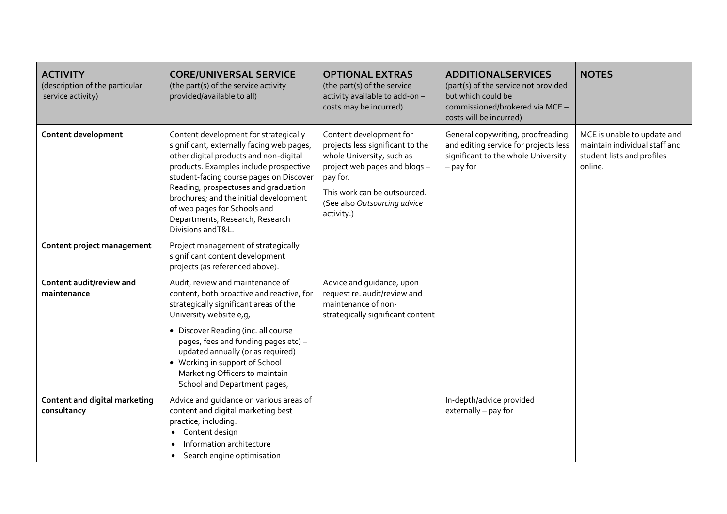| <b>ACTIVITY</b><br>(description of the particular<br>service activity) | <b>CORE/UNIVERSAL SERVICE</b><br>(the part(s) of the service activity<br>provided/available to all)                                                                                                                                                                                                                                                                                          | <b>OPTIONAL EXTRAS</b><br>(the part(s) of the service<br>activity available to add-on-<br>costs may be incurred)                                                                                                    | <b>ADDITIONALSERVICES</b><br>(part(s) of the service not provided<br>but which could be<br>commissioned/brokered via MCE -<br>costs will be incurred) | <b>NOTES</b>                                                                                          |
|------------------------------------------------------------------------|----------------------------------------------------------------------------------------------------------------------------------------------------------------------------------------------------------------------------------------------------------------------------------------------------------------------------------------------------------------------------------------------|---------------------------------------------------------------------------------------------------------------------------------------------------------------------------------------------------------------------|-------------------------------------------------------------------------------------------------------------------------------------------------------|-------------------------------------------------------------------------------------------------------|
| Content development                                                    | Content development for strategically<br>significant, externally facing web pages,<br>other digital products and non-digital<br>products. Examples include prospective<br>student-facing course pages on Discover<br>Reading; prospectuses and graduation<br>brochures; and the initial development<br>of web pages for Schools and<br>Departments, Research, Research<br>Divisions and T&L. | Content development for<br>projects less significant to the<br>whole University, such as<br>project web pages and blogs -<br>pay for.<br>This work can be outsourced.<br>(See also Outsourcing advice<br>activity.) | General copywriting, proofreading<br>and editing service for projects less<br>significant to the whole University<br>$-$ pay for                      | MCE is unable to update and<br>maintain individual staff and<br>student lists and profiles<br>online. |
| Content project management                                             | Project management of strategically<br>significant content development<br>projects (as referenced above).                                                                                                                                                                                                                                                                                    |                                                                                                                                                                                                                     |                                                                                                                                                       |                                                                                                       |
| Content audit/review and<br>maintenance                                | Audit, review and maintenance of<br>content, both proactive and reactive, for<br>strategically significant areas of the<br>University website e, q,<br>• Discover Reading (inc. all course<br>pages, fees and funding pages etc) -<br>updated annually (or as required)<br>• Working in support of School<br>Marketing Officers to maintain<br>School and Department pages,                  | Advice and guidance, upon<br>request re. audit/review and<br>maintenance of non-<br>strategically significant content                                                                                               |                                                                                                                                                       |                                                                                                       |
| Content and digital marketing<br>consultancy                           | Advice and guidance on various areas of<br>content and digital marketing best<br>practice, including:<br>Content design<br>$\bullet$<br>Information architecture<br>Search engine optimisation<br>$\bullet$                                                                                                                                                                                  |                                                                                                                                                                                                                     | In-depth/advice provided<br>externally - pay for                                                                                                      |                                                                                                       |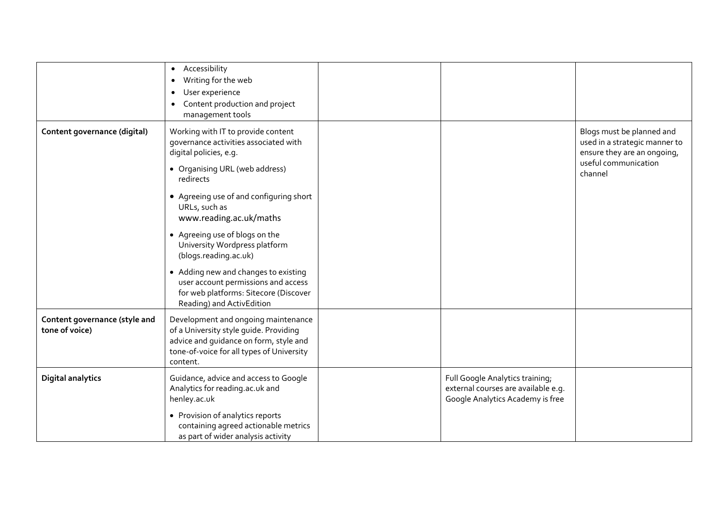|                                                 | Accessibility<br>$\bullet$<br>Writing for the web<br>$\bullet$<br>User experience<br>$\bullet$<br>Content production and project<br>$\bullet$<br>management tools                |                                                                                                            |                                                                                                                              |
|-------------------------------------------------|----------------------------------------------------------------------------------------------------------------------------------------------------------------------------------|------------------------------------------------------------------------------------------------------------|------------------------------------------------------------------------------------------------------------------------------|
| Content governance (digital)                    | Working with IT to provide content<br>governance activities associated with<br>digital policies, e.g.<br>• Organising URL (web address)<br>redirects                             |                                                                                                            | Blogs must be planned and<br>used in a strategic manner to<br>ensure they are an ongoing,<br>useful communication<br>channel |
|                                                 | • Agreeing use of and configuring short<br>URLs, such as<br>www.reading.ac.uk/maths                                                                                              |                                                                                                            |                                                                                                                              |
|                                                 | • Agreeing use of blogs on the<br>University Wordpress platform<br>(blogs.reading.ac.uk)                                                                                         |                                                                                                            |                                                                                                                              |
|                                                 | • Adding new and changes to existing<br>user account permissions and access<br>for web platforms: Sitecore (Discover<br>Reading) and ActivEdition                                |                                                                                                            |                                                                                                                              |
| Content governance (style and<br>tone of voice) | Development and ongoing maintenance<br>of a University style guide. Providing<br>advice and guidance on form, style and<br>tone-of-voice for all types of University<br>content. |                                                                                                            |                                                                                                                              |
| <b>Digital analytics</b>                        | Guidance, advice and access to Google<br>Analytics for reading.ac.uk and<br>henley.ac.uk                                                                                         | Full Google Analytics training;<br>external courses are available e.g.<br>Google Analytics Academy is free |                                                                                                                              |
|                                                 | • Provision of analytics reports<br>containing agreed actionable metrics<br>as part of wider analysis activity                                                                   |                                                                                                            |                                                                                                                              |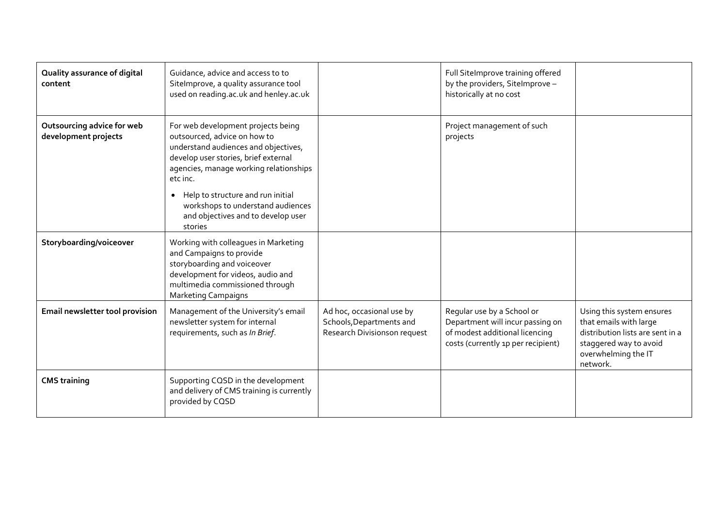| Quality assurance of digital<br>content            | Guidance, advice and access to to<br>SiteImprove, a quality assurance tool<br>used on reading.ac.uk and henley.ac.uk                                                                                                                                                                                                                             |                                                                                       | Full SiteImprove training offered<br>by the providers, SiteImprove -<br>historically at no cost                                        |                                                                                                                                                      |
|----------------------------------------------------|--------------------------------------------------------------------------------------------------------------------------------------------------------------------------------------------------------------------------------------------------------------------------------------------------------------------------------------------------|---------------------------------------------------------------------------------------|----------------------------------------------------------------------------------------------------------------------------------------|------------------------------------------------------------------------------------------------------------------------------------------------------|
| Outsourcing advice for web<br>development projects | For web development projects being<br>outsourced, advice on how to<br>understand audiences and objectives,<br>develop user stories, brief external<br>agencies, manage working relationships<br>etc inc.<br>Help to structure and run initial<br>$\bullet$<br>workshops to understand audiences<br>and objectives and to develop user<br>stories |                                                                                       | Project management of such<br>projects                                                                                                 |                                                                                                                                                      |
| Storyboarding/voiceover                            | Working with colleagues in Marketing<br>and Campaigns to provide<br>storyboarding and voiceover<br>development for videos, audio and<br>multimedia commissioned through<br><b>Marketing Campaigns</b>                                                                                                                                            |                                                                                       |                                                                                                                                        |                                                                                                                                                      |
| Email newsletter tool provision                    | Management of the University's email<br>newsletter system for internal<br>requirements, such as In Brief.                                                                                                                                                                                                                                        | Ad hoc, occasional use by<br>Schools, Departments and<br>Research Divisionson request | Regular use by a School or<br>Department will incur passing on<br>of modest additional licencing<br>costs (currently 1p per recipient) | Using this system ensures<br>that emails with large<br>distribution lists are sent in a<br>staggered way to avoid<br>overwhelming the IT<br>network. |
| <b>CMS</b> training                                | Supporting CQSD in the development<br>and delivery of CMS training is currently<br>provided by CQSD                                                                                                                                                                                                                                              |                                                                                       |                                                                                                                                        |                                                                                                                                                      |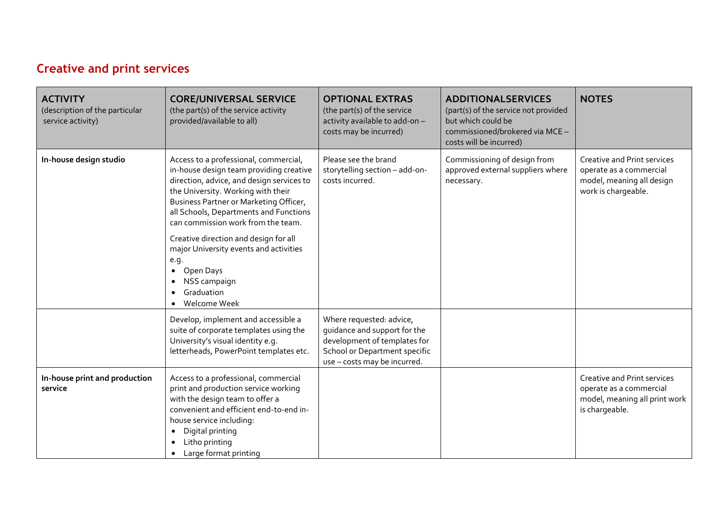## **Creative and print services**

| <b>ACTIVITY</b><br>(description of the particular<br>service activity) | <b>CORE/UNIVERSAL SERVICE</b><br>(the part(s) of the service activity<br>provided/available to all)                                                                                                                                                                                           | <b>OPTIONAL EXTRAS</b><br>(the part(s) of the service<br>activity available to add-on-<br>costs may be incurred)                                          | <b>ADDITIONALSERVICES</b><br>(part(s) of the service not provided<br>but which could be<br>commissioned/brokered via MCE -<br>costs will be incurred) | <b>NOTES</b>                                                                                                      |
|------------------------------------------------------------------------|-----------------------------------------------------------------------------------------------------------------------------------------------------------------------------------------------------------------------------------------------------------------------------------------------|-----------------------------------------------------------------------------------------------------------------------------------------------------------|-------------------------------------------------------------------------------------------------------------------------------------------------------|-------------------------------------------------------------------------------------------------------------------|
| In-house design studio                                                 | Access to a professional, commercial,<br>in-house design team providing creative<br>direction, advice, and design services to<br>the University. Working with their<br>Business Partner or Marketing Officer,<br>all Schools, Departments and Functions<br>can commission work from the team. | Please see the brand<br>storytelling section - add-on-<br>costs incurred.                                                                                 | Commissioning of design from<br>approved external suppliers where<br>necessary.                                                                       | <b>Creative and Print services</b><br>operate as a commercial<br>model, meaning all design<br>work is chargeable. |
|                                                                        | Creative direction and design for all<br>major University events and activities<br>e.g.<br>Open Days<br>$\bullet$<br>NSS campaign<br>Graduation<br>Welcome Week                                                                                                                               |                                                                                                                                                           |                                                                                                                                                       |                                                                                                                   |
|                                                                        | Develop, implement and accessible a<br>suite of corporate templates using the<br>University's visual identity e.g.<br>letterheads, PowerPoint templates etc.                                                                                                                                  | Where requested: advice,<br>quidance and support for the<br>development of templates for<br>School or Department specific<br>use - costs may be incurred. |                                                                                                                                                       |                                                                                                                   |
| In-house print and production<br>service                               | Access to a professional, commercial<br>print and production service working<br>with the design team to offer a<br>convenient and efficient end-to-end in-<br>house service including:<br>Digital printing<br>$\bullet$<br>Litho printing<br>Large format printing                            |                                                                                                                                                           |                                                                                                                                                       | Creative and Print services<br>operate as a commercial<br>model, meaning all print work<br>is chargeable.         |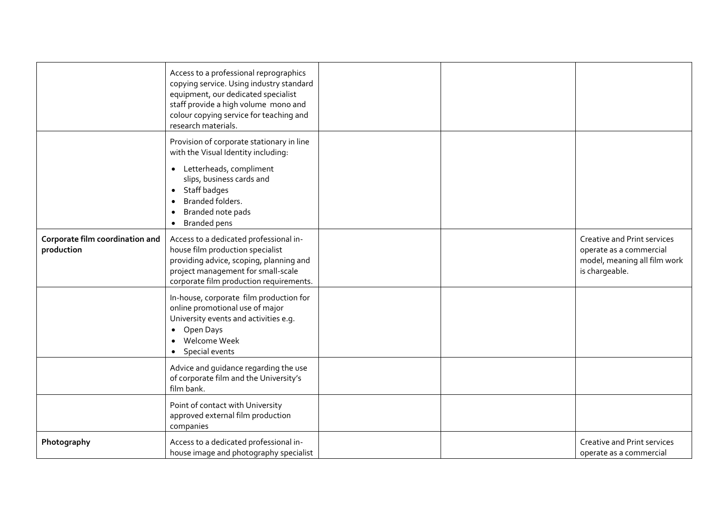|                                               | Access to a professional reprographics<br>copying service. Using industry standard<br>equipment, our dedicated specialist<br>staff provide a high volume mono and<br>colour copying service for teaching and<br>research materials. |  |                                                                                                          |
|-----------------------------------------------|-------------------------------------------------------------------------------------------------------------------------------------------------------------------------------------------------------------------------------------|--|----------------------------------------------------------------------------------------------------------|
|                                               | Provision of corporate stationary in line<br>with the Visual Identity including:                                                                                                                                                    |  |                                                                                                          |
|                                               | • Letterheads, compliment<br>slips, business cards and<br>Staff badges<br>$\bullet$<br>Branded folders.<br>Branded note pads<br>$\bullet$<br><b>Branded pens</b><br>$\bullet$                                                       |  |                                                                                                          |
| Corporate film coordination and<br>production | Access to a dedicated professional in-<br>house film production specialist<br>providing advice, scoping, planning and<br>project management for small-scale<br>corporate film production requirements.                              |  | Creative and Print services<br>operate as a commercial<br>model, meaning all film work<br>is chargeable. |
|                                               | In-house, corporate film production for<br>online promotional use of major<br>University events and activities e.g.<br>Open Days<br>$\bullet$<br>Welcome Week<br>$\bullet$<br>Special events<br>$\bullet$                           |  |                                                                                                          |
|                                               | Advice and guidance regarding the use<br>of corporate film and the University's<br>film bank.                                                                                                                                       |  |                                                                                                          |
|                                               | Point of contact with University<br>approved external film production<br>companies                                                                                                                                                  |  |                                                                                                          |
| Photography                                   | Access to a dedicated professional in-<br>house image and photography specialist                                                                                                                                                    |  | Creative and Print services<br>operate as a commercial                                                   |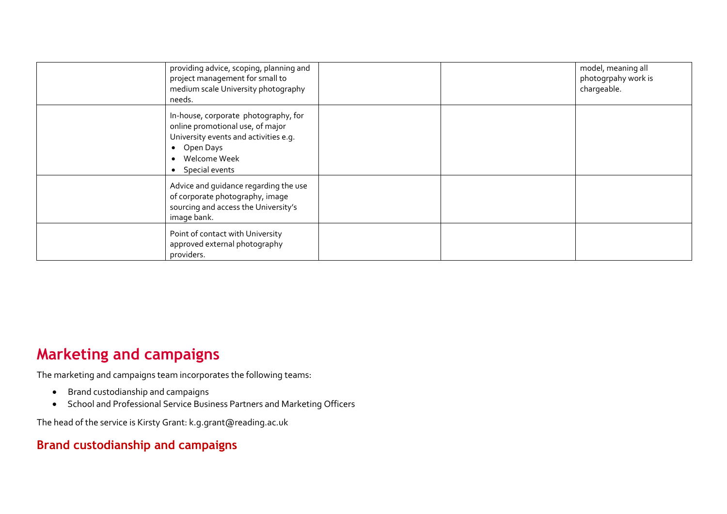| providing advice, scoping, planning and<br>project management for small to<br>medium scale University photography<br>needs.                                                       |  | model, meaning all<br>photogrpahy work is<br>chargeable. |
|-----------------------------------------------------------------------------------------------------------------------------------------------------------------------------------|--|----------------------------------------------------------|
| In-house, corporate photography, for<br>online promotional use, of major<br>University events and activities e.g.<br>• Open Days<br>• Welcome Week<br>Special events<br>$\bullet$ |  |                                                          |
| Advice and guidance regarding the use<br>of corporate photography, image<br>sourcing and access the University's<br>image bank.                                                   |  |                                                          |
| Point of contact with University<br>approved external photography<br>providers.                                                                                                   |  |                                                          |

# **Marketing and campaigns**

The marketing and campaigns team incorpor[ates the following teams:](mailto:Kerry.france@reading.ac.uk) 

- Brand custodianship and campaigns
- School and Professional Service Business Partners and Marketing Officers

The head of the service is Kirsty Grant: k.g.grant@reading.ac.uk

#### **Brand custodianship and campaigns**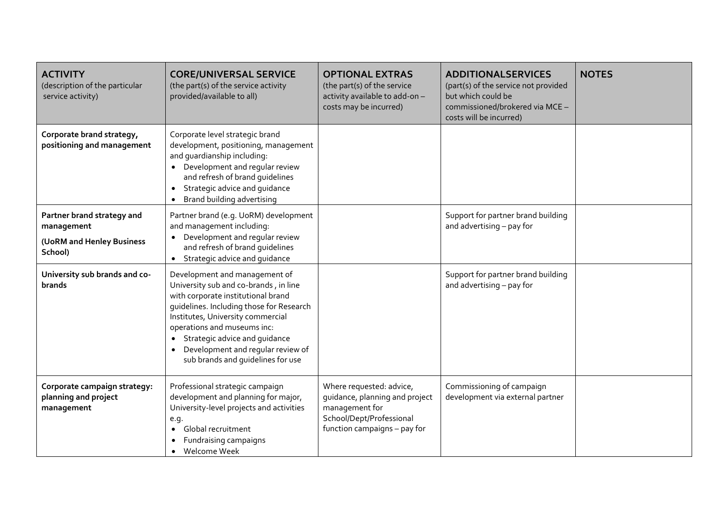| <b>ACTIVITY</b><br>(description of the particular<br>service activity)           | <b>CORE/UNIVERSAL SERVICE</b><br>(the part(s) of the service activity<br>provided/available to all)                                                                                                                                                                                                                                                               | <b>OPTIONAL EXTRAS</b><br>(the part(s) of the service<br>activity available to add-on-<br>costs may be incurred)                         | <b>ADDITIONALSERVICES</b><br>(part(s) of the service not provided<br>but which could be<br>commissioned/brokered via MCE -<br>costs will be incurred) | <b>NOTES</b> |
|----------------------------------------------------------------------------------|-------------------------------------------------------------------------------------------------------------------------------------------------------------------------------------------------------------------------------------------------------------------------------------------------------------------------------------------------------------------|------------------------------------------------------------------------------------------------------------------------------------------|-------------------------------------------------------------------------------------------------------------------------------------------------------|--------------|
| Corporate brand strategy,<br>positioning and management                          | Corporate level strategic brand<br>development, positioning, management<br>and quardianship including:<br>• Development and regular review<br>and refresh of brand guidelines<br>Strategic advice and guidance<br>Brand building advertising                                                                                                                      |                                                                                                                                          |                                                                                                                                                       |              |
| Partner brand strategy and<br>management<br>(UoRM and Henley Business<br>School) | Partner brand (e.g. UoRM) development<br>and management including:<br>Development and regular review<br>and refresh of brand guidelines<br>Strategic advice and guidance                                                                                                                                                                                          |                                                                                                                                          | Support for partner brand building<br>and advertising - pay for                                                                                       |              |
| University sub brands and co-<br>brands                                          | Development and management of<br>University sub and co-brands, in line<br>with corporate institutional brand<br>quidelines. Including those for Research<br>Institutes, University commercial<br>operations and museums inc:<br>Strategic advice and guidance<br>$\bullet$<br>Development and regular review of<br>$\bullet$<br>sub brands and quidelines for use |                                                                                                                                          | Support for partner brand building<br>and advertising - pay for                                                                                       |              |
| Corporate campaign strategy:<br>planning and project<br>management               | Professional strategic campaign<br>development and planning for major,<br>University-level projects and activities<br>e.g.<br>Global recruitment<br>$\bullet$<br>Fundraising campaigns<br>Welcome Week<br>$\bullet$                                                                                                                                               | Where requested: advice,<br>guidance, planning and project<br>management for<br>School/Dept/Professional<br>function campaigns - pay for | Commissioning of campaign<br>development via external partner                                                                                         |              |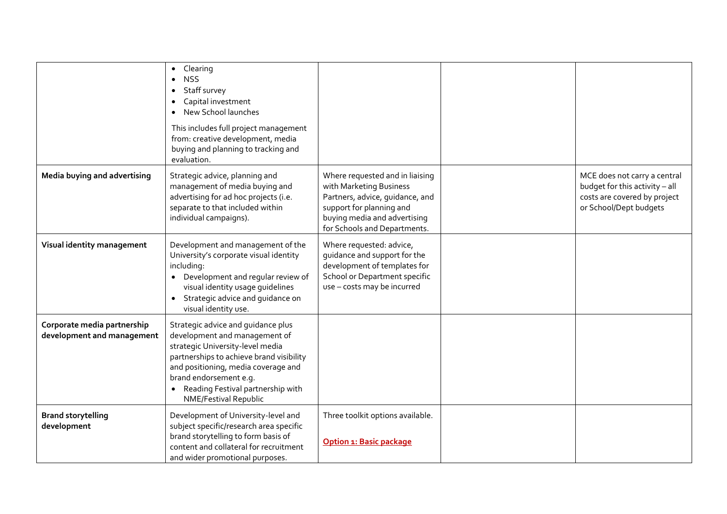|                                                           | Clearing<br><b>NSS</b><br>Staff survey<br>Capital investment<br>New School launches<br>This includes full project management<br>from: creative development, media<br>buying and planning to tracking and<br>evaluation.                                                            |                                                                                                                                                                                           |                                                                                                                          |
|-----------------------------------------------------------|------------------------------------------------------------------------------------------------------------------------------------------------------------------------------------------------------------------------------------------------------------------------------------|-------------------------------------------------------------------------------------------------------------------------------------------------------------------------------------------|--------------------------------------------------------------------------------------------------------------------------|
| Media buying and advertising                              | Strategic advice, planning and<br>management of media buying and<br>advertising for ad hoc projects (i.e.<br>separate to that included within<br>individual campaigns).                                                                                                            | Where requested and in liaising<br>with Marketing Business<br>Partners, advice, guidance, and<br>support for planning and<br>buying media and advertising<br>for Schools and Departments. | MCE does not carry a central<br>budget for this activity - all<br>costs are covered by project<br>or School/Dept budgets |
| Visual identity management                                | Development and management of the<br>University's corporate visual identity<br>including:<br>Development and regular review of<br>visual identity usage guidelines<br>Strategic advice and guidance on<br>visual identity use.                                                     | Where requested: advice,<br>guidance and support for the<br>development of templates for<br>School or Department specific<br>use - costs may be incurred                                  |                                                                                                                          |
| Corporate media partnership<br>development and management | Strategic advice and guidance plus<br>development and management of<br>strategic University-level media<br>partnerships to achieve brand visibility<br>and positioning, media coverage and<br>brand endorsement e.g.<br>Reading Festival partnership with<br>NME/Festival Republic |                                                                                                                                                                                           |                                                                                                                          |
| <b>Brand storytelling</b><br>development                  | Development of University-level and<br>subject specific/research area specific<br>brand storytelling to form basis of<br>content and collateral for recruitment<br>and wider promotional purposes.                                                                                 | Three toolkit options available.<br>Option 1: Basic package                                                                                                                               |                                                                                                                          |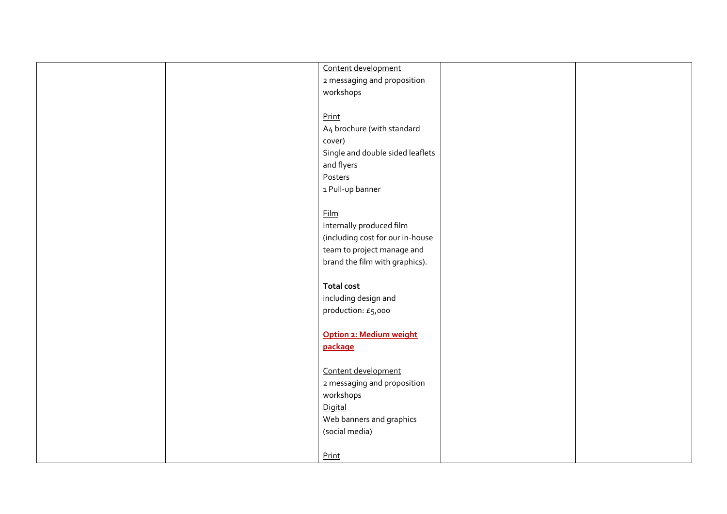| Content development              |
|----------------------------------|
| 2 messaging and proposition      |
| workshops                        |
|                                  |
| Print                            |
|                                  |
| A4 brochure (with standard       |
| cover)                           |
| Single and double sided leaflets |
| and flyers                       |
| Posters                          |
| 1 Pull-up banner                 |
|                                  |
| <b>Film</b>                      |
|                                  |
| Internally produced film         |
| (including cost for our in-house |
| team to project manage and       |
| brand the film with graphics).   |
|                                  |
| <b>Total cost</b>                |
|                                  |
| including design and             |
| production: £5,000               |
|                                  |
| Option 2: Medium weight          |
| package                          |
|                                  |
| Content development              |
|                                  |
| 2 messaging and proposition      |
| workshops                        |
| Digital                          |
| Web banners and graphics         |
| (social media)                   |
|                                  |
| Print                            |
|                                  |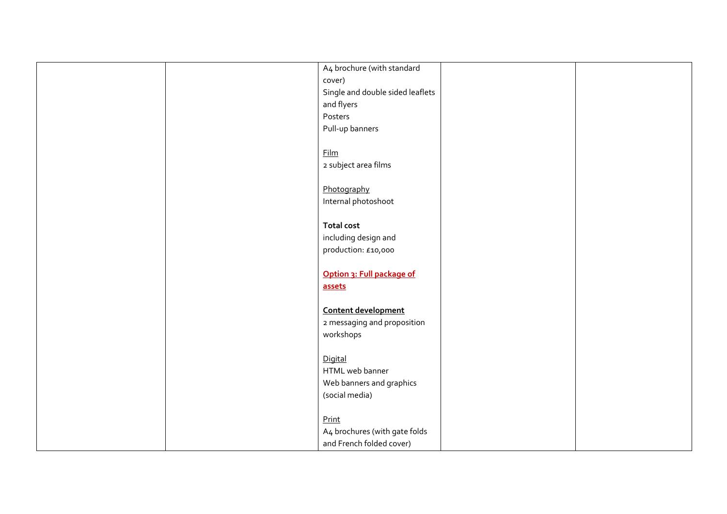| A4 brochure (with standard       |  |
|----------------------------------|--|
| cover)                           |  |
| Single and double sided leaflets |  |
| and flyers                       |  |
| Posters                          |  |
| Pull-up banners                  |  |
|                                  |  |
| <b>Film</b>                      |  |
| 2 subject area films             |  |
|                                  |  |
| Photography                      |  |
| Internal photoshoot              |  |
|                                  |  |
| <b>Total cost</b>                |  |
| including design and             |  |
| production: £10,000              |  |
|                                  |  |
| Option 3: Full package of        |  |
| assets                           |  |
|                                  |  |
| Content development              |  |
| 2 messaging and proposition      |  |
| workshops                        |  |
|                                  |  |
| Digital                          |  |
| HTML web banner                  |  |
| Web banners and graphics         |  |
| (social media)                   |  |
|                                  |  |
| Print                            |  |
| A4 brochures (with gate folds    |  |
| and French folded cover)         |  |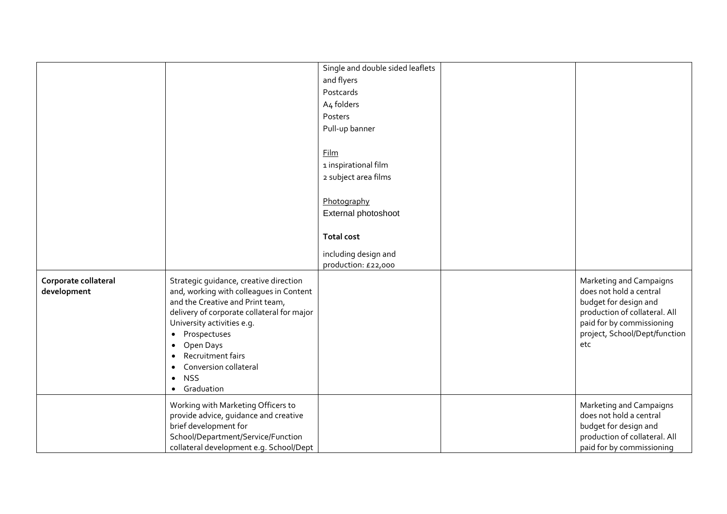|                                     |                                                                                                                                                                                                                                                                                                                                                                                        | Single and double sided leaflets |                                                                                                                                                                                   |
|-------------------------------------|----------------------------------------------------------------------------------------------------------------------------------------------------------------------------------------------------------------------------------------------------------------------------------------------------------------------------------------------------------------------------------------|----------------------------------|-----------------------------------------------------------------------------------------------------------------------------------------------------------------------------------|
|                                     |                                                                                                                                                                                                                                                                                                                                                                                        | and flyers                       |                                                                                                                                                                                   |
|                                     |                                                                                                                                                                                                                                                                                                                                                                                        | Postcards                        |                                                                                                                                                                                   |
|                                     |                                                                                                                                                                                                                                                                                                                                                                                        | A4 folders                       |                                                                                                                                                                                   |
|                                     |                                                                                                                                                                                                                                                                                                                                                                                        | Posters                          |                                                                                                                                                                                   |
|                                     |                                                                                                                                                                                                                                                                                                                                                                                        | Pull-up banner                   |                                                                                                                                                                                   |
|                                     |                                                                                                                                                                                                                                                                                                                                                                                        |                                  |                                                                                                                                                                                   |
|                                     |                                                                                                                                                                                                                                                                                                                                                                                        | Film                             |                                                                                                                                                                                   |
|                                     |                                                                                                                                                                                                                                                                                                                                                                                        | 1 inspirational film             |                                                                                                                                                                                   |
|                                     |                                                                                                                                                                                                                                                                                                                                                                                        | 2 subject area films             |                                                                                                                                                                                   |
|                                     |                                                                                                                                                                                                                                                                                                                                                                                        |                                  |                                                                                                                                                                                   |
|                                     |                                                                                                                                                                                                                                                                                                                                                                                        | Photography                      |                                                                                                                                                                                   |
|                                     |                                                                                                                                                                                                                                                                                                                                                                                        | External photoshoot              |                                                                                                                                                                                   |
|                                     |                                                                                                                                                                                                                                                                                                                                                                                        |                                  |                                                                                                                                                                                   |
|                                     |                                                                                                                                                                                                                                                                                                                                                                                        | <b>Total cost</b>                |                                                                                                                                                                                   |
|                                     |                                                                                                                                                                                                                                                                                                                                                                                        | including design and             |                                                                                                                                                                                   |
|                                     |                                                                                                                                                                                                                                                                                                                                                                                        | production: £22,000              |                                                                                                                                                                                   |
| Corporate collateral<br>development | Strategic guidance, creative direction<br>and, working with colleagues in Content<br>and the Creative and Print team,<br>delivery of corporate collateral for major<br>University activities e.g.<br>Prospectuses<br>$\bullet$<br>Open Days<br>$\bullet$<br>Recruitment fairs<br>$\bullet$<br>Conversion collateral<br>$\bullet$<br><b>NSS</b><br>$\bullet$<br>Graduation<br>$\bullet$ |                                  | Marketing and Campaigns<br>does not hold a central<br>budget for design and<br>production of collateral. All<br>paid for by commissioning<br>project, School/Dept/function<br>etc |
|                                     | Working with Marketing Officers to<br>provide advice, guidance and creative<br>brief development for<br>School/Department/Service/Function<br>collateral development e.g. School/Dept                                                                                                                                                                                                  |                                  | Marketing and Campaigns<br>does not hold a central<br>budget for design and<br>production of collateral. All<br>paid for by commissioning                                         |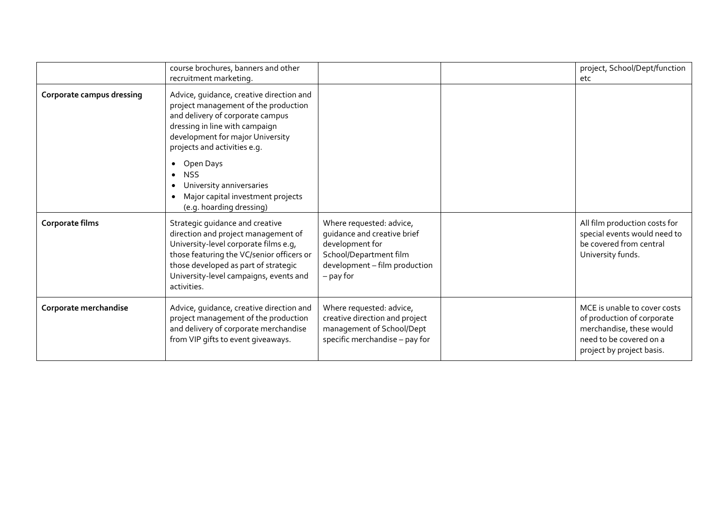|                           | course brochures, banners and other<br>recruitment marketing.                                                                                                                                                                                                                                                                                                                             |                                                                                                                                                      | project, School/Dept/function<br>etc                                                                                                           |
|---------------------------|-------------------------------------------------------------------------------------------------------------------------------------------------------------------------------------------------------------------------------------------------------------------------------------------------------------------------------------------------------------------------------------------|------------------------------------------------------------------------------------------------------------------------------------------------------|------------------------------------------------------------------------------------------------------------------------------------------------|
| Corporate campus dressing | Advice, guidance, creative direction and<br>project management of the production<br>and delivery of corporate campus<br>dressing in line with campaign<br>development for major University<br>projects and activities e.g.<br>Open Days<br>$\bullet$<br><b>NSS</b><br>$\bullet$<br>University anniversaries<br>Major capital investment projects<br>$\bullet$<br>(e.g. hoarding dressing) |                                                                                                                                                      |                                                                                                                                                |
| Corporate films           | Strategic guidance and creative<br>direction and project management of<br>University-level corporate films e.g,<br>those featuring the VC/senior officers or<br>those developed as part of strategic<br>University-level campaigns, events and<br>activities.                                                                                                                             | Where requested: advice,<br>guidance and creative brief<br>development for<br>School/Department film<br>development - film production<br>$-$ pay for | All film production costs for<br>special events would need to<br>be covered from central<br>University funds.                                  |
| Corporate merchandise     | Advice, guidance, creative direction and<br>project management of the production<br>and delivery of corporate merchandise<br>from VIP gifts to event giveaways.                                                                                                                                                                                                                           | Where requested: advice,<br>creative direction and project<br>management of School/Dept<br>specific merchandise - pay for                            | MCE is unable to cover costs<br>of production of corporate<br>merchandise, these would<br>need to be covered on a<br>project by project basis. |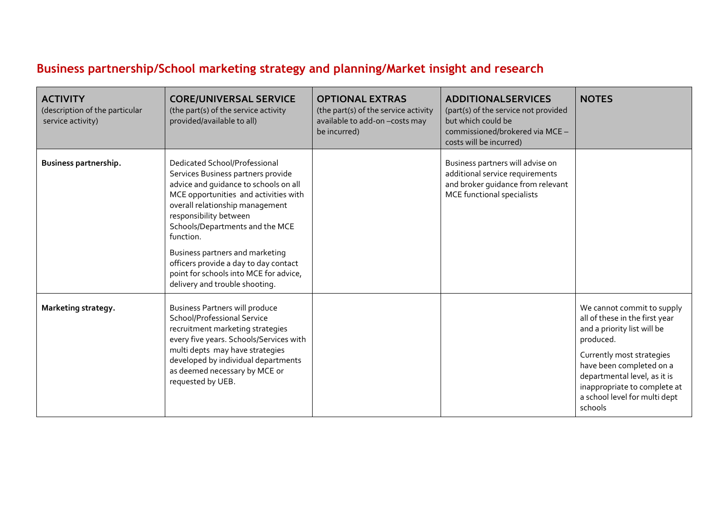# **Business partnership/School marketing strategy and planning/Market insight and research**

| <b>ACTIVITY</b><br>(description of the particular<br>service activity) | <b>CORE/UNIVERSAL SERVICE</b><br>(the part(s) of the service activity<br>provided/available to all)                                                                                                                                                                                                                                                                                                                        | <b>OPTIONAL EXTRAS</b><br>(the part(s) of the service activity<br>available to add-on-costs may<br>be incurred) | <b>ADDITIONALSERVICES</b><br>(part(s) of the service not provided<br>but which could be<br>commissioned/brokered via MCE -<br>costs will be incurred) | <b>NOTES</b>                                                                                                                                                                                                                                                                  |
|------------------------------------------------------------------------|----------------------------------------------------------------------------------------------------------------------------------------------------------------------------------------------------------------------------------------------------------------------------------------------------------------------------------------------------------------------------------------------------------------------------|-----------------------------------------------------------------------------------------------------------------|-------------------------------------------------------------------------------------------------------------------------------------------------------|-------------------------------------------------------------------------------------------------------------------------------------------------------------------------------------------------------------------------------------------------------------------------------|
| Business partnership.                                                  | Dedicated School/Professional<br>Services Business partners provide<br>advice and quidance to schools on all<br>MCE opportunities and activities with<br>overall relationship management<br>responsibility between<br>Schools/Departments and the MCE<br>function.<br>Business partners and marketing<br>officers provide a day to day contact<br>point for schools into MCE for advice,<br>delivery and trouble shooting. |                                                                                                                 | Business partners will advise on<br>additional service requirements<br>and broker guidance from relevant<br>MCE functional specialists                |                                                                                                                                                                                                                                                                               |
| Marketing strategy.                                                    | <b>Business Partners will produce</b><br>School/Professional Service<br>recruitment marketing strategies<br>every five years. Schools/Services with<br>multi depts may have strategies<br>developed by individual departments<br>as deemed necessary by MCE or<br>requested by UEB.                                                                                                                                        |                                                                                                                 |                                                                                                                                                       | We cannot commit to supply<br>all of these in the first year<br>and a priority list will be<br>produced.<br>Currently most strategies<br>have been completed on a<br>departmental level, as it is<br>inappropriate to complete at<br>a school level for multi dept<br>schools |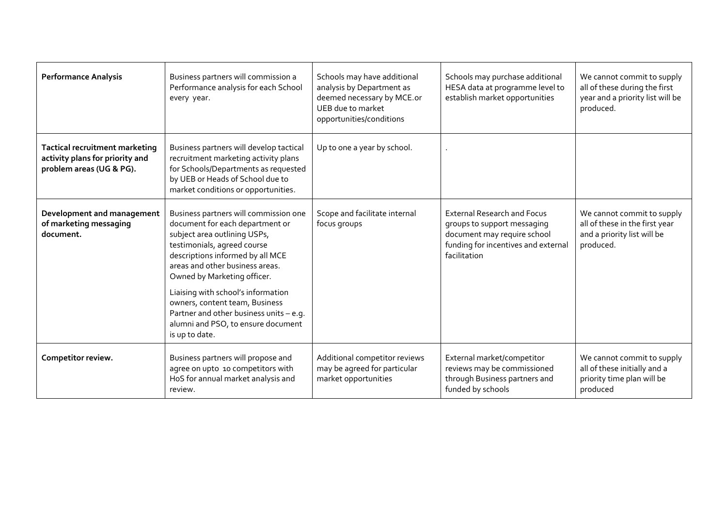| <b>Performance Analysis</b>                                                                   | Business partners will commission a<br>Performance analysis for each School<br>every year.                                                                                                                                                                                                                            | Schools may have additional<br>analysis by Department as<br>deemed necessary by MCE.or<br>UEB due to market<br>opportunities/conditions | Schools may purchase additional<br>HESA data at programme level to<br>establish market opportunities                                                    | We cannot commit to supply<br>all of these during the first<br>year and a priority list will be<br>produced. |
|-----------------------------------------------------------------------------------------------|-----------------------------------------------------------------------------------------------------------------------------------------------------------------------------------------------------------------------------------------------------------------------------------------------------------------------|-----------------------------------------------------------------------------------------------------------------------------------------|---------------------------------------------------------------------------------------------------------------------------------------------------------|--------------------------------------------------------------------------------------------------------------|
| Tactical recruitment marketing<br>activity plans for priority and<br>problem areas (UG & PG). | Business partners will develop tactical<br>recruitment marketing activity plans<br>for Schools/Departments as requested<br>by UEB or Heads of School due to<br>market conditions or opportunities.                                                                                                                    | Up to one a year by school.                                                                                                             |                                                                                                                                                         |                                                                                                              |
| Development and management<br>of marketing messaging<br>document.                             | Business partners will commission one<br>document for each department or<br>subject area outlining USPs,<br>testimonials, agreed course<br>descriptions informed by all MCE<br>areas and other business areas.<br>Owned by Marketing officer.<br>Liaising with school's information<br>owners, content team, Business | Scope and facilitate internal<br>focus groups                                                                                           | <b>External Research and Focus</b><br>groups to support messaging<br>document may require school<br>funding for incentives and external<br>facilitation | We cannot commit to supply<br>all of these in the first year<br>and a priority list will be<br>produced.     |
|                                                                                               | Partner and other business units - e.g.<br>alumni and PSO, to ensure document<br>is up to date.                                                                                                                                                                                                                       |                                                                                                                                         |                                                                                                                                                         |                                                                                                              |
| Competitor review.                                                                            | Business partners will propose and<br>agree on upto 10 competitors with<br>HoS for annual market analysis and<br>review.                                                                                                                                                                                              | Additional competitor reviews<br>may be agreed for particular<br>market opportunities                                                   | External market/competitor<br>reviews may be commissioned<br>through Business partners and<br>funded by schools                                         | We cannot commit to supply<br>all of these initially and a<br>priority time plan will be<br>produced         |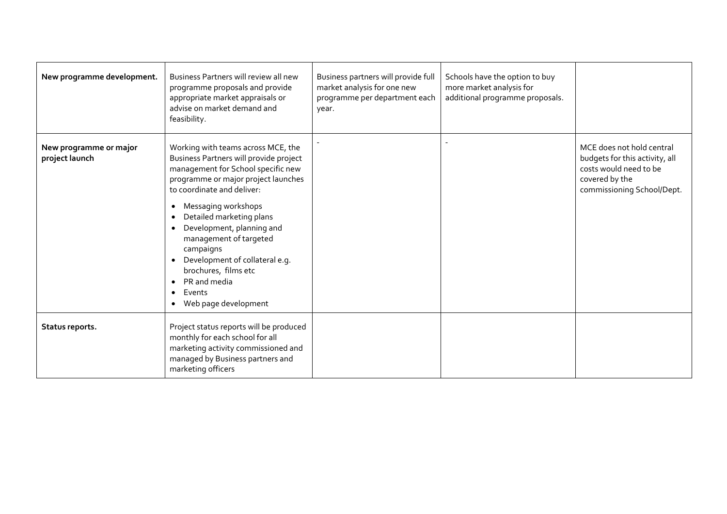| New programme development.               | Business Partners will review all new<br>programme proposals and provide<br>appropriate market appraisals or<br>advise on market demand and<br>feasibility.                                                                                                                                                                                                                                                                                                                                                           | Business partners will provide full<br>market analysis for one new<br>programme per department each<br>year. | Schools have the option to buy<br>more market analysis for<br>additional programme proposals. |                                                                                                                                       |
|------------------------------------------|-----------------------------------------------------------------------------------------------------------------------------------------------------------------------------------------------------------------------------------------------------------------------------------------------------------------------------------------------------------------------------------------------------------------------------------------------------------------------------------------------------------------------|--------------------------------------------------------------------------------------------------------------|-----------------------------------------------------------------------------------------------|---------------------------------------------------------------------------------------------------------------------------------------|
| New programme or major<br>project launch | Working with teams across MCE, the<br>Business Partners will provide project<br>management for School specific new<br>programme or major project launches<br>to coordinate and deliver:<br>Messaging workshops<br>$\bullet$<br>Detailed marketing plans<br>$\bullet$<br>Development, planning and<br>$\bullet$<br>management of targeted<br>campaigns<br>Development of collateral e.g.<br>$\bullet$<br>brochures, films etc<br>PR and media<br>$\bullet$<br>Events<br>$\bullet$<br>Web page development<br>$\bullet$ |                                                                                                              |                                                                                               | MCE does not hold central<br>budgets for this activity, all<br>costs would need to be<br>covered by the<br>commissioning School/Dept. |
| Status reports.                          | Project status reports will be produced<br>monthly for each school for all<br>marketing activity commissioned and<br>managed by Business partners and<br>marketing officers                                                                                                                                                                                                                                                                                                                                           |                                                                                                              |                                                                                               |                                                                                                                                       |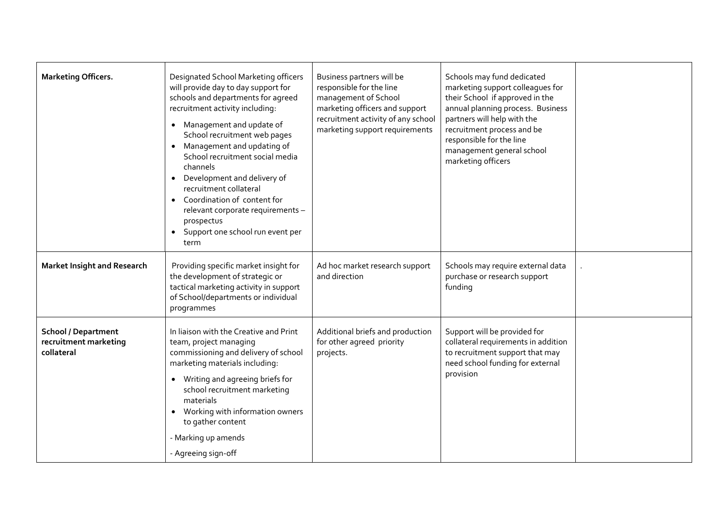| <b>Marketing Officers.</b>                                        | Designated School Marketing officers<br>will provide day to day support for<br>schools and departments for agreed<br>recruitment activity including:<br>• Management and update of<br>School recruitment web pages<br>• Management and updating of<br>School recruitment social media<br>channels<br>Development and delivery of<br>$\bullet$<br>recruitment collateral<br>Coordination of content for<br>relevant corporate requirements -<br>prospectus<br>Support one school run event per<br>$\bullet$<br>term | Business partners will be<br>responsible for the line<br>management of School<br>marketing officers and support<br>recruitment activity of any school<br>marketing support requirements | Schools may fund dedicated<br>marketing support colleagues for<br>their School if approved in the<br>annual planning process. Business<br>partners will help with the<br>recruitment process and be<br>responsible for the line<br>management general school<br>marketing officers |  |
|-------------------------------------------------------------------|--------------------------------------------------------------------------------------------------------------------------------------------------------------------------------------------------------------------------------------------------------------------------------------------------------------------------------------------------------------------------------------------------------------------------------------------------------------------------------------------------------------------|-----------------------------------------------------------------------------------------------------------------------------------------------------------------------------------------|------------------------------------------------------------------------------------------------------------------------------------------------------------------------------------------------------------------------------------------------------------------------------------|--|
| <b>Market Insight and Research</b>                                | Providing specific market insight for<br>the development of strategic or<br>tactical marketing activity in support<br>of School/departments or individual<br>programmes                                                                                                                                                                                                                                                                                                                                            | Ad hoc market research support<br>and direction                                                                                                                                         | Schools may require external data<br>purchase or research support<br>funding                                                                                                                                                                                                       |  |
| <b>School / Department</b><br>recruitment marketing<br>collateral | In liaison with the Creative and Print<br>team, project managing<br>commissioning and delivery of school<br>marketing materials including:<br>• Writing and agreeing briefs for<br>school recruitment marketing<br>materials<br>Working with information owners<br>to gather content<br>- Marking up amends<br>- Agreeing sign-off                                                                                                                                                                                 | Additional briefs and production<br>for other agreed priority<br>projects.                                                                                                              | Support will be provided for<br>collateral requirements in addition<br>to recruitment support that may<br>need school funding for external<br>provision                                                                                                                            |  |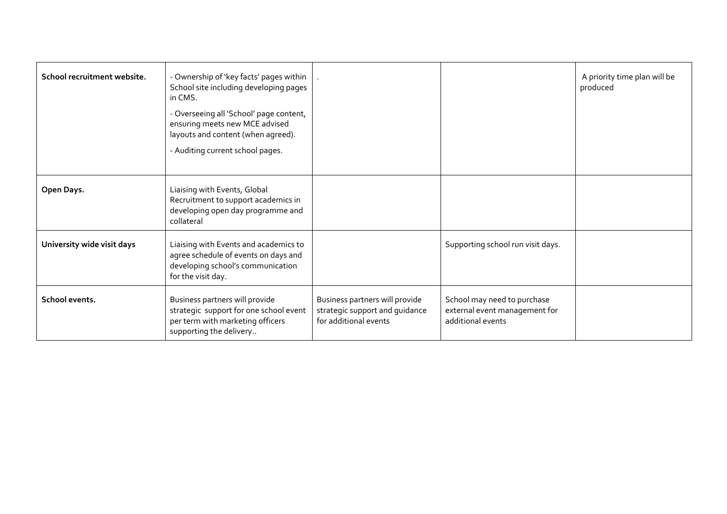| School recruitment website. | - Ownership of 'key facts' pages within<br>School site including developing pages<br>in CMS.<br>- Overseeing all 'School' page content,<br>ensuring meets new MCE advised<br>layouts and content (when agreed).<br>- Auditing current school pages. |                                                                                           |                                                                                   | A priority time plan will be<br>produced |
|-----------------------------|-----------------------------------------------------------------------------------------------------------------------------------------------------------------------------------------------------------------------------------------------------|-------------------------------------------------------------------------------------------|-----------------------------------------------------------------------------------|------------------------------------------|
| Open Days.                  | Liaising with Events, Global<br>Recruitment to support academics in<br>developing open day programme and<br>collateral                                                                                                                              |                                                                                           |                                                                                   |                                          |
| University wide visit days  | Liaising with Events and academics to<br>agree schedule of events on days and<br>developing school's communication<br>for the visit day.                                                                                                            |                                                                                           | Supporting school run visit days.                                                 |                                          |
| School events.              | Business partners will provide<br>strategic support for one school event<br>per term with marketing officers<br>supporting the delivery                                                                                                             | Business partners will provide<br>strategic support and guidance<br>for additional events | School may need to purchase<br>external event management for<br>additional events |                                          |